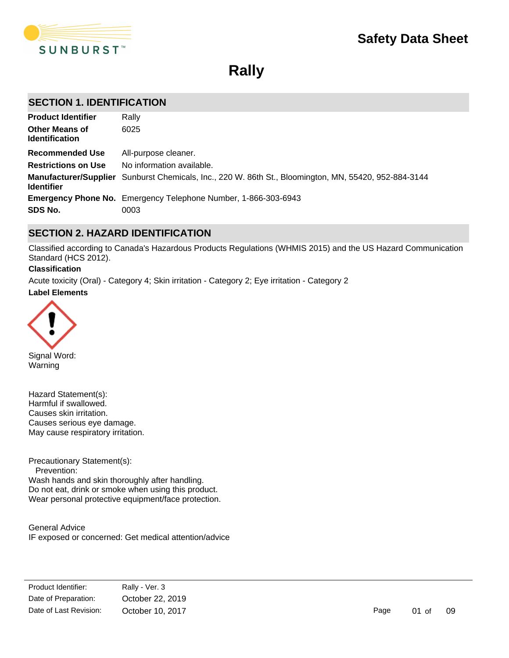

**Rally**

# **SECTION 1. IDENTIFICATION**

| <b>Product Identifier</b>                      | Rally                                                                                                 |
|------------------------------------------------|-------------------------------------------------------------------------------------------------------|
| <b>Other Means of</b><br><b>Identification</b> | 6025                                                                                                  |
| <b>Recommended Use</b>                         | All-purpose cleaner.                                                                                  |
| <b>Restrictions on Use</b>                     | No information available.                                                                             |
| <b>Identifier</b>                              | Manufacturer/Supplier Sunburst Chemicals, Inc., 220 W. 86th St., Bloomington, MN, 55420, 952-884-3144 |
|                                                | <b>Emergency Phone No.</b> Emergency Telephone Number, 1-866-303-6943                                 |
| SDS No.                                        | 0003                                                                                                  |

# **SECTION 2. HAZARD IDENTIFICATION**

Classified according to Canada's Hazardous Products Regulations (WHMIS 2015) and the US Hazard Communication Standard (HCS 2012).

### **Classification**

**Label Elements** Acute toxicity (Oral) - Category 4; Skin irritation - Category 2; Eye irritation - Category 2



Signal Word: Warning

Hazard Statement(s): Harmful if swallowed. Causes skin irritation. Causes serious eye damage. May cause respiratory irritation.

Precautionary Statement(s): Prevention: Wash hands and skin thoroughly after handling. Do not eat, drink or smoke when using this product. Wear personal protective equipment/face protection.

General Advice IF exposed or concerned: Get medical attention/advice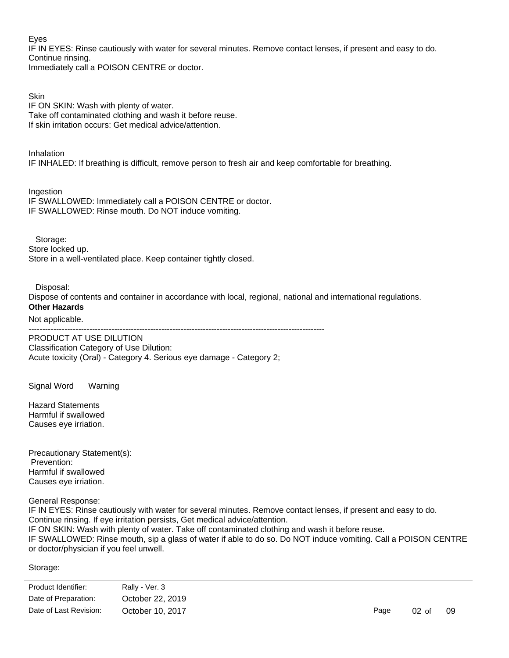### Eyes

IF IN EYES: Rinse cautiously with water for several minutes. Remove contact lenses, if present and easy to do. Continue rinsing.

Immediately call a POISON CENTRE or doctor.

Skin IF ON SKIN: Wash with plenty of water. Take off contaminated clothing and wash it before reuse. If skin irritation occurs: Get medical advice/attention.

Inhalation IF INHALED: If breathing is difficult, remove person to fresh air and keep comfortable for breathing.

Ingestion IF SWALLOWED: Immediately call a POISON CENTRE or doctor. IF SWALLOWED: Rinse mouth. Do NOT induce vomiting.

Storage: Store locked up. Store in a well-ventilated place. Keep container tightly closed.

Disposal:

Dispose of contents and container in accordance with local, regional, national and international regulations. **Other Hazards**

### Not applicable.

-----------------------------------------------------------------------------------------------------------

PRODUCT AT USE DILUTION Classification Category of Use Dilution: Acute toxicity (Oral) - Category 4. Serious eye damage - Category 2;

Signal Word Warning

Hazard Statements Harmful if swallowed Causes eye irriation.

Precautionary Statement(s): Prevention: Harmful if swallowed Causes eye irriation.

General Response:

IF IN EYES: Rinse cautiously with water for several minutes. Remove contact lenses, if present and easy to do. Continue rinsing. If eye irritation persists, Get medical advice/attention. IF ON SKIN: Wash with plenty of water. Take off contaminated clothing and wash it before reuse. IF SWALLOWED: Rinse mouth, sip a glass of water if able to do so. Do NOT induce vomiting. Call a POISON CENTRE or doctor/physician if you feel unwell.

Storage:

Store in accordance with local regulations.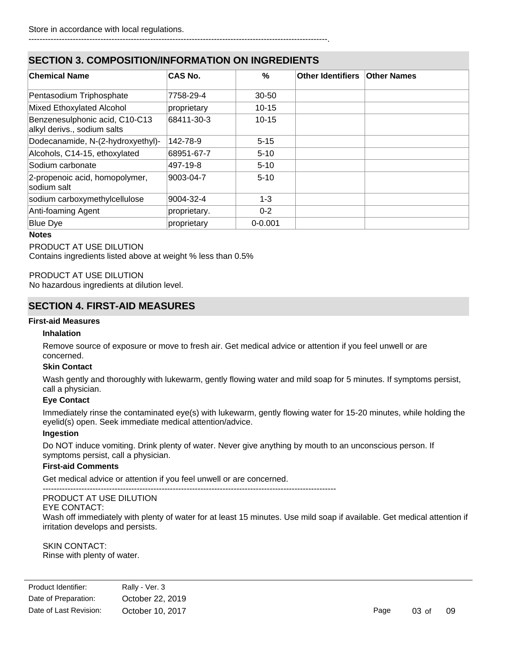## ------------------------------------------------------------------------------------------------------------.

# **SECTION 3. COMPOSITION/INFORMATION ON INGREDIENTS**

| <b>Chemical Name</b>                                          | <b>CAS No.</b> | $\%$        | Other Identifiers   Other Names |  |
|---------------------------------------------------------------|----------------|-------------|---------------------------------|--|
| Pentasodium Triphosphate                                      | 7758-29-4      | $30 - 50$   |                                 |  |
| Mixed Ethoxylated Alcohol                                     | proprietary    | $10 - 15$   |                                 |  |
| Benzenesulphonic acid, C10-C13<br>alkyl derivs., sodium salts | 68411-30-3     | $10 - 15$   |                                 |  |
| Dodecanamide, N-(2-hydroxyethyl)-                             | 142-78-9       | $5 - 15$    |                                 |  |
| Alcohols, C14-15, ethoxylated                                 | 68951-67-7     | $5 - 10$    |                                 |  |
| Sodium carbonate                                              | 497-19-8       | $5 - 10$    |                                 |  |
| 2-propenoic acid, homopolymer,<br>sodium salt                 | 9003-04-7      | $5 - 10$    |                                 |  |
| sodium carboxymethylcellulose                                 | 9004-32-4      | $1 - 3$     |                                 |  |
| Anti-foaming Agent                                            | proprietary.   | $0 - 2$     |                                 |  |
| <b>Blue Dye</b>                                               | proprietary    | $0 - 0.001$ |                                 |  |

#### **Notes**

#### PRODUCT AT USE DILUTION

Contains ingredients listed above at weight % less than 0.5%

PRODUCT AT USE DILUTION No hazardous ingredients at dilution level.

# **SECTION 4. FIRST-AID MEASURES**

### **First-aid Measures**

#### **Inhalation**

Remove source of exposure or move to fresh air. Get medical advice or attention if you feel unwell or are concerned.

#### **Skin Contact**

Wash gently and thoroughly with lukewarm, gently flowing water and mild soap for 5 minutes. If symptoms persist, call a physician.

### **Eye Contact**

Immediately rinse the contaminated eye(s) with lukewarm, gently flowing water for 15-20 minutes, while holding the eyelid(s) open. Seek immediate medical attention/advice.

#### **Ingestion**

Do NOT induce vomiting. Drink plenty of water. Never give anything by mouth to an unconscious person. If symptoms persist, call a physician.

### **First-aid Comments**

Get medical advice or attention if you feel unwell or are concerned.

### PRODUCT AT USE DILUTION

#### EYE CONTACT:

Wash off immediately with plenty of water for at least 15 minutes. Use mild soap if available. Get medical attention if irritation develops and persists.

SKIN CONTACT: Rinse with plenty of water.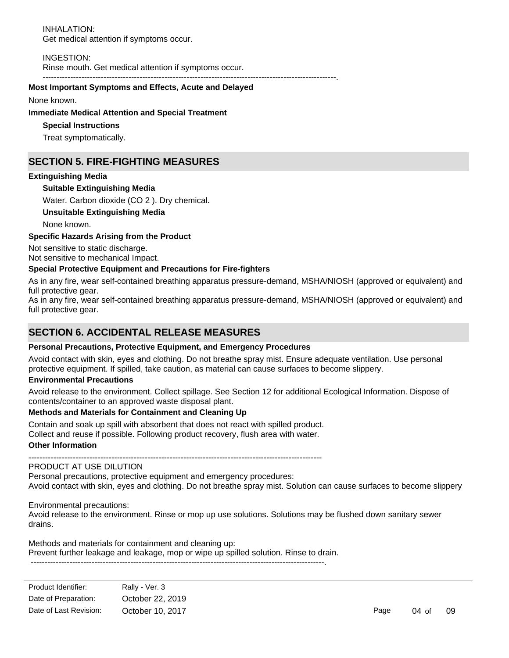INHALATION: Get medical attention if symptoms occur.

INGESTION:

Rinse mouth. Get medical attention if symptoms occur.

----------------------------------------------------------------------------------------------------------.

### **Most Important Symptoms and Effects, Acute and Delayed**

None known.

### **Immediate Medical Attention and Special Treatment**

**Special Instructions**

Treat symptomatically.

# **SECTION 5. FIRE-FIGHTING MEASURES**

## **Extinguishing Media**

### **Suitable Extinguishing Media**

Water. Carbon dioxide (CO 2 ). Dry chemical.

### **Unsuitable Extinguishing Media**

None known.

### **Specific Hazards Arising from the Product**

Not sensitive to static discharge.

Not sensitive to mechanical Impact.

### **Special Protective Equipment and Precautions for Fire-fighters**

As in any fire, wear self-contained breathing apparatus pressure-demand, MSHA/NIOSH (approved or equivalent) and full protective gear.

As in any fire, wear self-contained breathing apparatus pressure-demand, MSHA/NIOSH (approved or equivalent) and full protective gear.

# **SECTION 6. ACCIDENTAL RELEASE MEASURES**

### **Personal Precautions, Protective Equipment, and Emergency Procedures**

Avoid contact with skin, eyes and clothing. Do not breathe spray mist. Ensure adequate ventilation. Use personal protective equipment. If spilled, take caution, as material can cause surfaces to become slippery.

### **Environmental Precautions**

Avoid release to the environment. Collect spillage. See Section 12 for additional Ecological Information. Dispose of contents/container to an approved waste disposal plant.

### **Methods and Materials for Containment and Cleaning Up**

Contain and soak up spill with absorbent that does not react with spilled product. Collect and reuse if possible. Following product recovery, flush area with water.

#### **Other Information**

----------------------------------------------------------------------------------------------------------

# PRODUCT AT USE DILUTION

Personal precautions, protective equipment and emergency procedures: Avoid contact with skin, eyes and clothing. Do not breathe spray mist. Solution can cause surfaces to become slippery

Environmental precautions:

Avoid release to the environment. Rinse or mop up use solutions. Solutions may be flushed down sanitary sewer drains.

Methods and materials for containment and cleaning up: Prevent further leakage and leakage, mop or wipe up spilled solution. Rinse to drain. ----------------------------------------------------------------------------------------------------------.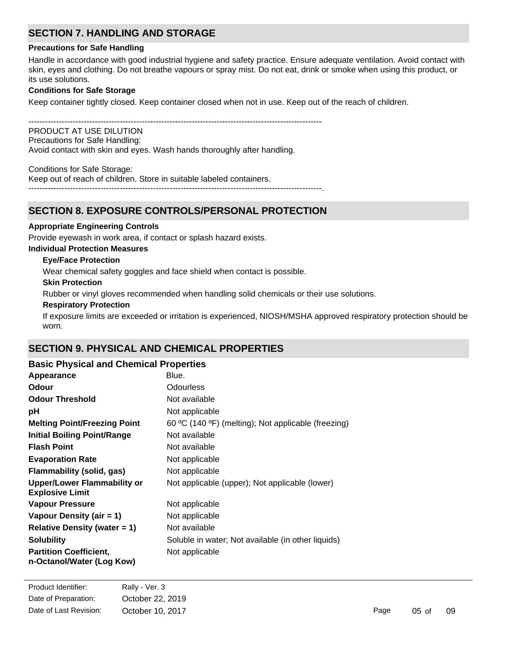# **SECTION 7. HANDLING AND STORAGE**

### **Precautions for Safe Handling**

Handle in accordance with good industrial hygiene and safety practice. Ensure adequate ventilation. Avoid contact with skin, eyes and clothing. Do not breathe vapours or spray mist. Do not eat, drink or smoke when using this product, or its use solutions.

### **Conditions for Safe Storage**

Keep container tightly closed. Keep container closed when not in use. Keep out of the reach of children.

----------------------------------------------------------------------------------------------------------

PRODUCT AT USE DILUTION Precautions for Safe Handling:

Avoid contact with skin and eyes. Wash hands thoroughly after handling.

Conditions for Safe Storage:

Keep out of reach of children. Store in suitable labeled containers.

----------------------------------------------------------------------------------------------------------.

# **SECTION 8. EXPOSURE CONTROLS/PERSONAL PROTECTION**

### **Appropriate Engineering Controls**

Provide eyewash in work area, if contact or splash hazard exists.

### **Individual Protection Measures**

### **Eye/Face Protection**

Wear chemical safety goggles and face shield when contact is possible.

### **Skin Protection**

Rubber or vinyl gloves recommended when handling solid chemicals or their use solutions.

### **Respiratory Protection**

If exposure limits are exceeded or irritation is experienced, NIOSH/MSHA approved respiratory protection should be worn.

# **SECTION 9. PHYSICAL AND CHEMICAL PROPERTIES**

| <b>Basic Physical and Chemical Properties</b>                |                                                     |
|--------------------------------------------------------------|-----------------------------------------------------|
| Appearance                                                   | Blue.                                               |
| Odour                                                        | <b>Odourless</b>                                    |
| <b>Odour Threshold</b>                                       | Not available                                       |
| рH                                                           | Not applicable                                      |
| <b>Melting Point/Freezing Point</b>                          | 60 °C (140 °F) (melting); Not applicable (freezing) |
| <b>Initial Boiling Point/Range</b>                           | Not available                                       |
| <b>Flash Point</b>                                           | Not available                                       |
| <b>Evaporation Rate</b>                                      | Not applicable                                      |
| <b>Flammability (solid, gas)</b>                             | Not applicable                                      |
| <b>Upper/Lower Flammability or</b><br><b>Explosive Limit</b> | Not applicable (upper); Not applicable (lower)      |
| Vapour Pressure                                              | Not applicable                                      |
| Vapour Density (air = 1)                                     | Not applicable                                      |
| Relative Density (water $= 1$ )                              | Not available                                       |
| <b>Solubility</b>                                            | Soluble in water; Not available (in other liquids)  |
| <b>Partition Coefficient,</b><br>n-Octanol/Water (Log Kow)   | Not applicable                                      |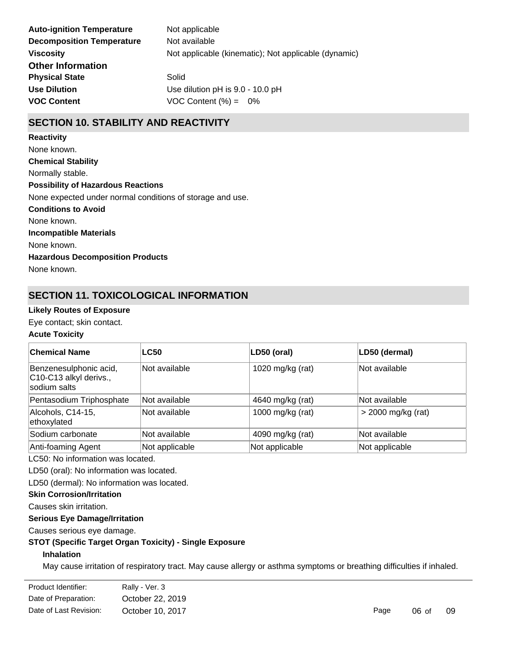| <b>Auto-ignition Temperature</b> | Not applicable                                       |
|----------------------------------|------------------------------------------------------|
| <b>Decomposition Temperature</b> | Not available                                        |
| <b>Viscosity</b>                 | Not applicable (kinematic); Not applicable (dynamic) |
| <b>Other Information</b>         |                                                      |
| <b>Physical State</b>            | Solid                                                |
| <b>Use Dilution</b>              | Use dilution pH is 9.0 - 10.0 pH                     |
| <b>VOC Content</b>               | VOC Content $(\%) = 0\%$                             |

# **SECTION 10. STABILITY AND REACTIVITY**

**Chemical Stability** Normally stable. **Conditions to Avoid** None known. **Incompatible Materials** None known. **Hazardous Decomposition Products** None known. **Possibility of Hazardous Reactions** None expected under normal conditions of storage and use. **Reactivity** None known.

# **SECTION 11. TOXICOLOGICAL INFORMATION**

## **Likely Routes of Exposure**

Eye contact; skin contact.

# **Acute Toxicity**

| ∣Chemical Name                                                   | <b>LC50</b>    | LD50 (oral)      | LD50 (dermal)        |
|------------------------------------------------------------------|----------------|------------------|----------------------|
| Benzenesulphonic acid,<br>C10-C13 alkyl derivs.,<br>sodium salts | Not available  | 1020 mg/kg (rat) | Not available        |
| Pentasodium Triphosphate                                         | Not available  | 4640 mg/kg (rat) | Not available        |
| Alcohols, C14-15,<br>ethoxylated                                 | Not available  | 1000 mg/kg (rat) | $>$ 2000 mg/kg (rat) |
| Sodium carbonate                                                 | Not available  | 4090 mg/kg (rat) | Not available        |
| Anti-foaming Agent                                               | Not applicable | Not applicable   | Not applicable       |

LC50: No information was located.

LD50 (oral): No information was located.

LD50 (dermal): No information was located.

**Skin Corrosion/Irritation**

Causes skin irritation.

# **Serious Eye Damage/Irritation**

Causes serious eye damage.

## **STOT (Specific Target Organ Toxicity) - Single Exposure**

## **Inhalation**

**Ingestion**

May cause irritation of respiratory tract. May cause allergy or asthma symptoms or breathing difficulties if inhaled.

| Product Identifier:    | Rally - Ver. 3   |  |  |
|------------------------|------------------|--|--|
| Date of Preparation:   | October 22, 2019 |  |  |
| Date of Last Revision: | October 10, 2017 |  |  |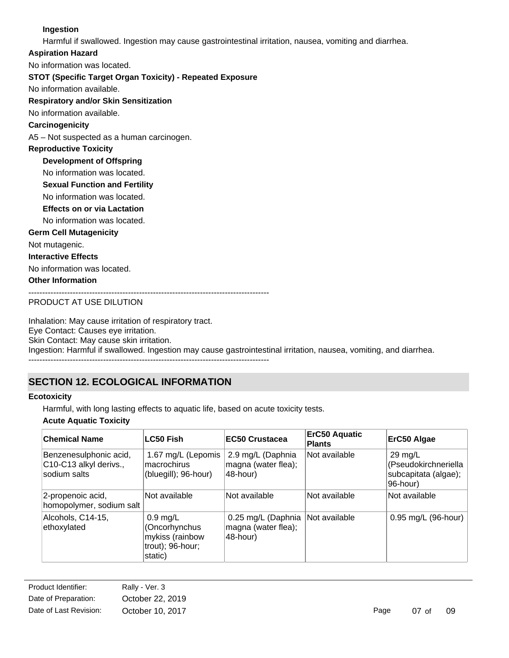## **Ingestion**

Harmful if swallowed. Ingestion may cause gastrointestinal irritation, nausea, vomiting and diarrhea.

**Aspiration Hazard**

No information was located.

## **STOT (Specific Target Organ Toxicity) - Repeated Exposure**

No information available.

## **Respiratory and/or Skin Sensitization**

No information available.

# **Carcinogenicity**

A5 – Not suspected as a human carcinogen.

# **Reproductive Toxicity**

**Development of Offspring**

No information was located.

**Sexual Function and Fertility**

No information was located.

**Effects on or via Lactation**

No information was located.

## **Germ Cell Mutagenicity**

Not mutagenic.

### **Interactive Effects**

No information was located.

## **Other Information**

---------------------------------------------------------------------------------------

# PRODUCT AT USE DILUTION

Inhalation: May cause irritation of respiratory tract. Eye Contact: Causes eye irritation. Skin Contact: May cause skin irritation. Ingestion: Harmful if swallowed. Ingestion may cause gastrointestinal irritation, nausea, vomiting, and diarrhea. ---------------------------------------------------------------------------------------

# **SECTION 12. ECOLOGICAL INFORMATION**

# **Ecotoxicity**

Harmful, with long lasting effects to aquatic life, based on acute toxicity tests.

## **Acute Aquatic Toxicity**

| <b>Chemical Name</b>                                             | LC50 Fish                                                                             | <b>EC50 Crustacea</b>                                 | <b>ErC50 Aquatic</b><br><b>Plants</b> | ErC50 Algae                                                                   |
|------------------------------------------------------------------|---------------------------------------------------------------------------------------|-------------------------------------------------------|---------------------------------------|-------------------------------------------------------------------------------|
| Benzenesulphonic acid,<br>C10-C13 alkyl derivs.,<br>sodium salts | 1.67 mg/L (Lepomis<br>macrochirus<br>(bluegill); 96-hour)                             | 2.9 mg/L (Daphnia<br>magna (water flea);<br>48-hour)  | Not available                         | $29 \text{ mg/L}$<br>(Pseudokirchneriella<br>subcapitata (algae);<br>96-hour) |
| 2-propenoic acid,<br>homopolymer, sodium salt                    | Not available                                                                         | Not available                                         | Not available                         | Not available                                                                 |
| Alcohols, C14-15,<br>ethoxylated                                 | $0.9 \text{ mg/L}$<br>(Oncorhynchus<br>mykiss (rainbow<br>trout); 96-hour;<br>static) | 0.25 mg/L (Daphnia<br>magna (water flea);<br>48-hour) | Not available                         | 0.95 mg/L (96-hour)                                                           |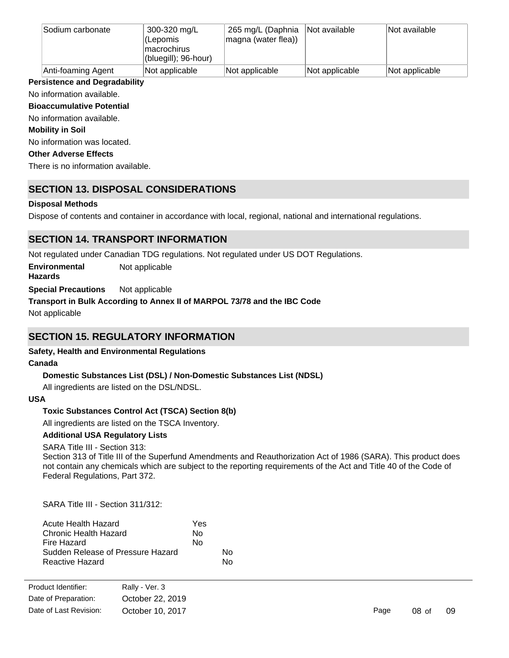| Sodium carbonate   | 300-320 mg/L<br>l(Lepomis<br>macrochirus<br>(bluegill); 96-hour) | 265 mg/L (Daphnia<br>magna (water flea)) | Not available  | Not available  |
|--------------------|------------------------------------------------------------------|------------------------------------------|----------------|----------------|
| Anti-foaming Agent | Not applicable                                                   | Not applicable                           | Not applicable | Not applicable |

## **Persistence and Degradability**

No information available.

**Bioaccumulative Potential**

No information available.

### **Mobility in Soil**

No information was located.

### **Other Adverse Effects**

There is no information available.

# **SECTION 13. DISPOSAL CONSIDERATIONS**

# **Disposal Methods**

Dispose of contents and container in accordance with local, regional, national and international regulations.

# **SECTION 14. TRANSPORT INFORMATION**

Not regulated under Canadian TDG regulations. Not regulated under US DOT Regulations.

**Special Precautions** Not applicable **Environmental Hazards** Not applicable

# **Transport in Bulk According to Annex II of MARPOL 73/78 and the IBC Code**

Not applicable

# **SECTION 15. REGULATORY INFORMATION**

# **Safety, Health and Environmental Regulations**

## **Canada**

# **Domestic Substances List (DSL) / Non-Domestic Substances List (NDSL)**

All ingredients are listed on the DSL/NDSL.

## **USA**

## **Toxic Substances Control Act (TSCA) Section 8(b)**

All ingredients are listed on the TSCA Inventory.

## **Additional USA Regulatory Lists**

## SARA Title III - Section 313:

Section 313 of Title III of the Superfund Amendments and Reauthorization Act of 1986 (SARA). This product does not contain any chemicals which are subject to the reporting requirements of the Act and Title 40 of the Code of Federal Regulations, Part 372.

SARA Title III - Section 311/312:

| Acute Health Hazard               | Yes |    |
|-----------------------------------|-----|----|
| Chronic Health Hazard             | Nο  |    |
| Fire Hazard                       | No  |    |
| Sudden Release of Pressure Hazard |     | N٥ |
| Reactive Hazard                   |     | N٥ |

| Product Identifier:    | Rally - Ver. 3   |
|------------------------|------------------|
| Date of Preparation:   | October 22, 2019 |
| Date of Last Revision: | October 10, 2017 |